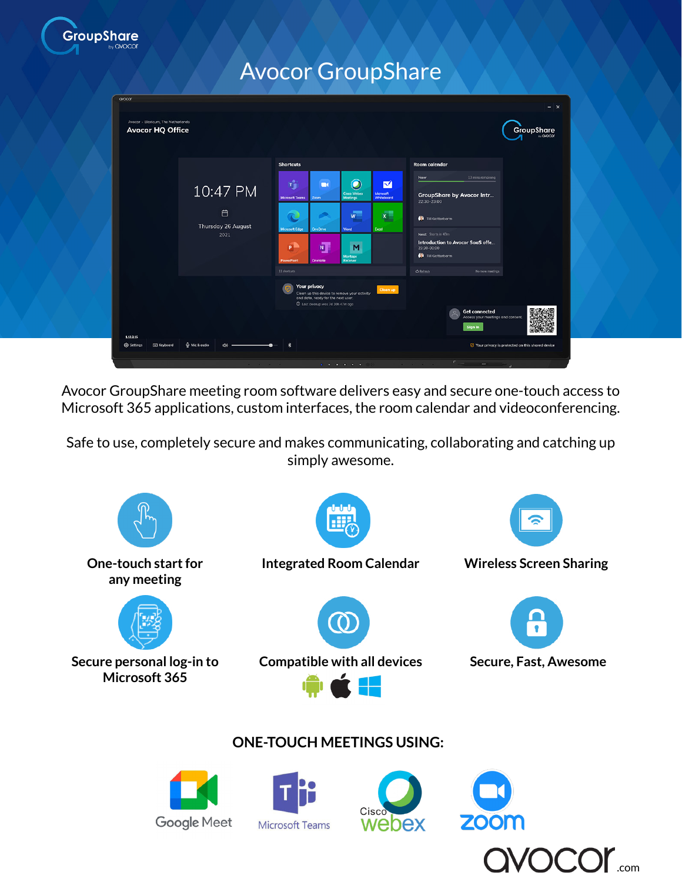

## Avocor GroupShare

| avacar<br>Avocor - Blaricum, The Netherlands<br><b>Avocor HQ Office</b> |                                             |                                                                                                                                                                                                                                                                                                                                                                                           | $- x$<br>GroupShare<br>by CMOCOO                                                                                                                                                           |
|-------------------------------------------------------------------------|---------------------------------------------|-------------------------------------------------------------------------------------------------------------------------------------------------------------------------------------------------------------------------------------------------------------------------------------------------------------------------------------------------------------------------------------------|--------------------------------------------------------------------------------------------------------------------------------------------------------------------------------------------|
|                                                                         |                                             | <b>Shortcuts</b>                                                                                                                                                                                                                                                                                                                                                                          | Room calendar                                                                                                                                                                              |
|                                                                         | 10:47 PM<br>白<br>Thursday 26 August<br>2021 | $\bigoplus$<br>$\bullet$<br>$\blacksquare$<br>$\blacksquare$<br><b>Cisco Webex</b><br><b>Microsoft</b><br><b>Meetings</b><br>Whiteboard<br><b>Microsoft Teams</b><br>Zoom<br>$\overline{\mathbf{x}}$<br>$\overline{w}$<br>- -<br>man i<br><b>Microsoft Edge</b><br>OneDrive<br>Word<br>Excel<br>$\overline{\mathbf{N}}$<br>$\bullet$<br>M<br>Montage<br>PowerPoint<br>OneNote<br>Receiver | 13 mins remoining<br>Now<br><b>GroupShare by Avocor Intr</b><br>22:30-23:00<br>Till Gotterbarm<br>Next Storts in 43m<br>Introduction to Avocor SaaS offe<br>23:30-00:00<br>Till Gotterbarm |
|                                                                         |                                             | 11 shortcuts<br><b>Your privacy</b><br>Clean up<br>Clean up this device to remove your activity<br>and data, ready for the next user.<br>10 Last cleanup was 7d 10h 47m ago                                                                                                                                                                                                               | <b>O</b> Refresh<br>No more meetings<br><b>Get connected</b><br>$\sim$<br>Access your meetings and content.                                                                                |
| 1.12.2.15<br>Settings<br>E Keyboard                                     | <b><i>&amp;</i></b> Mic & audio<br>40       | $\ast$                                                                                                                                                                                                                                                                                                                                                                                    | Sign in<br>⊙ Your privacy is protected on this shared device<br><u>Communication</u>                                                                                                       |

Avocor GroupShare meeting room software delivers easy and secure one-touch access to Microsoft 365 applications, custom interfaces, the room calendar and videoconferencing.

Safe to use, completely secure and makes communicating, collaborating and catching up simply awesome.